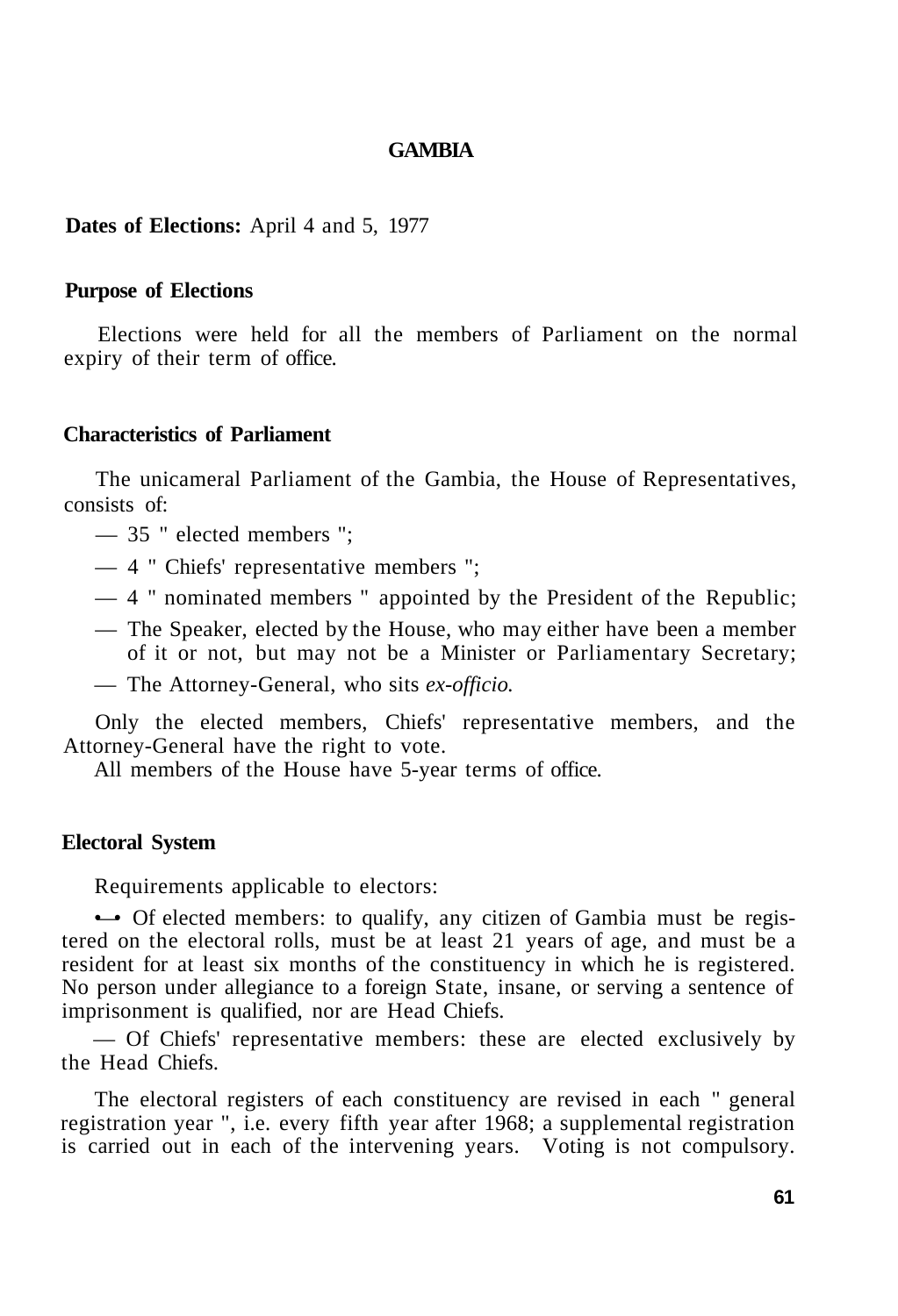## **GAMBIA**

# **Dates of Elections:** April 4 and 5, 1977

### **Purpose of Elections**

Elections were held for all the members of Parliament on the normal expiry of their term of office.

### **Characteristics of Parliament**

The unicameral Parliament of the Gambia, the House of Representatives, consists of:

- 35 " elected members ";
- 4 " Chiefs' representative members ";
- 4 " nominated members " appointed by the President of the Republic;
- The Speaker, elected by the House, who may either have been a member of it or not, but may not be a Minister or Parliamentary Secretary;
- The Attorney-General, who sits *ex-officio.*

Only the elected members, Chiefs' representative members, and the Attorney-General have the right to vote.

All members of the House have 5-year terms of office.

#### **Electoral System**

Requirements applicable to electors:

• Of elected members: to qualify, any citizen of Gambia must be registered on the electoral rolls, must be at least 21 years of age, and must be a resident for at least six months of the constituency in which he is registered. No person under allegiance to a foreign State, insane, or serving a sentence of imprisonment is qualified, nor are Head Chiefs.

— Of Chiefs' representative members: these are elected exclusively by the Head Chiefs.

The electoral registers of each constituency are revised in each " general registration year ", i.e. every fifth year after 1968; a supplemental registration is carried out in each of the intervening years. Voting is not compulsory.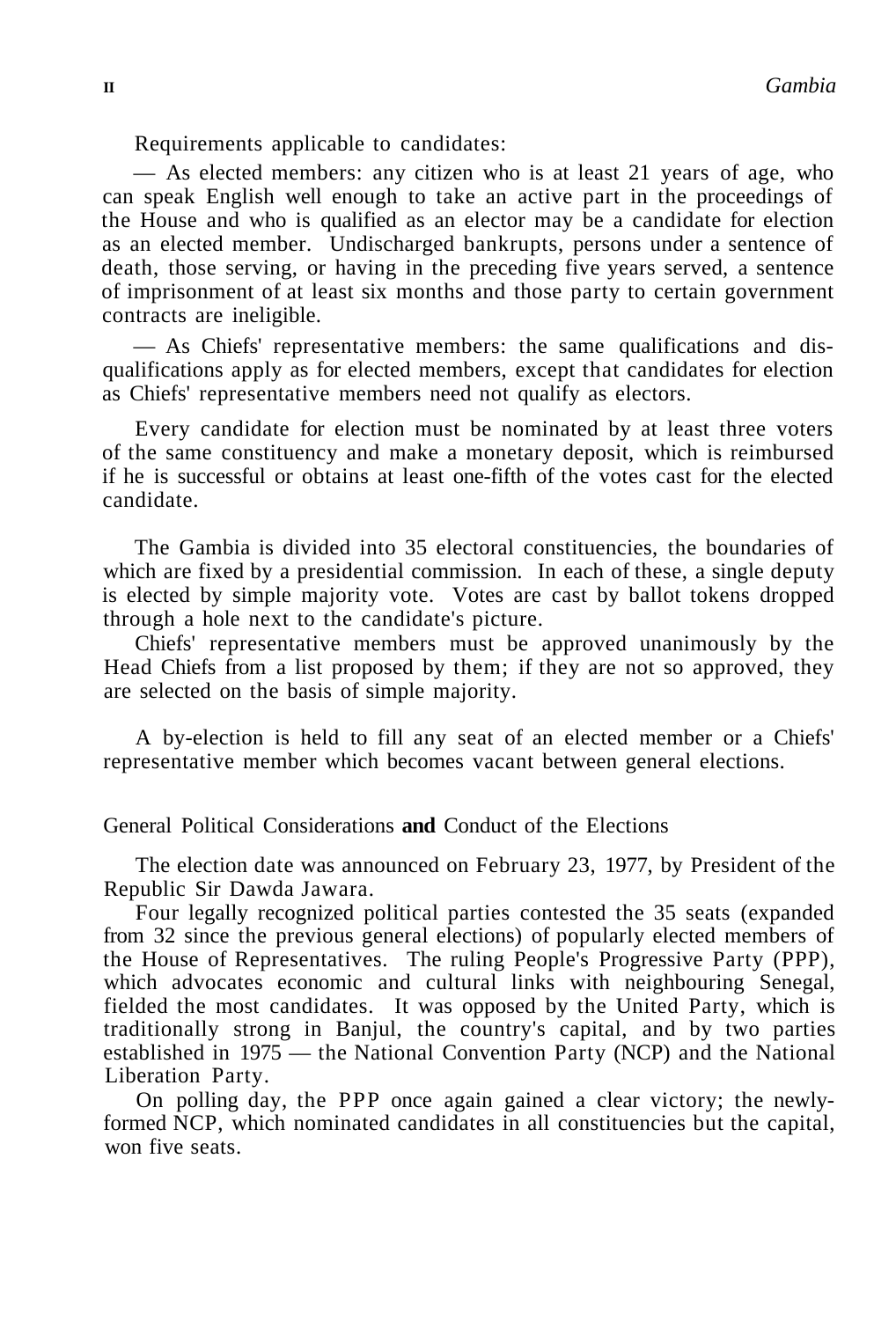Requirements applicable to candidates:

— As elected members: any citizen who is at least 21 years of age, who can speak English well enough to take an active part in the proceedings of the House and who is qualified as an elector may be a candidate for election as an elected member. Undischarged bankrupts, persons under a sentence of death, those serving, or having in the preceding five years served, a sentence of imprisonment of at least six months and those party to certain government contracts are ineligible.

— As Chiefs' representative members: the same qualifications and disqualifications apply as for elected members, except that candidates for election as Chiefs' representative members need not qualify as electors.

Every candidate for election must be nominated by at least three voters of the same constituency and make a monetary deposit, which is reimbursed if he is successful or obtains at least one-fifth of the votes cast for the elected candidate.

The Gambia is divided into 35 electoral constituencies, the boundaries of which are fixed by a presidential commission. In each of these, a single deputy is elected by simple majority vote. Votes are cast by ballot tokens dropped through a hole next to the candidate's picture.

Chiefs' representative members must be approved unanimously by the Head Chiefs from a list proposed by them; if they are not so approved, they are selected on the basis of simple majority.

A by-election is held to fill any seat of an elected member or a Chiefs' representative member which becomes vacant between general elections.

General Political Considerations **and** Conduct of the Elections

The election date was announced on February 23, 1977, by President of the Republic Sir Dawda Jawara.

Four legally recognized political parties contested the 35 seats (expanded from 32 since the previous general elections) of popularly elected members of the House of Representatives. The ruling People's Progressive Party (PPP), which advocates economic and cultural links with neighbouring Senegal, fielded the most candidates. It was opposed by the United Party, which is traditionally strong in Banjul, the country's capital, and by two parties established in 1975 — the National Convention Party (NCP) and the National Liberation Party.

On polling day, the PPP once again gained a clear victory; the newlyformed NCP, which nominated candidates in all constituencies but the capital, won five seats.